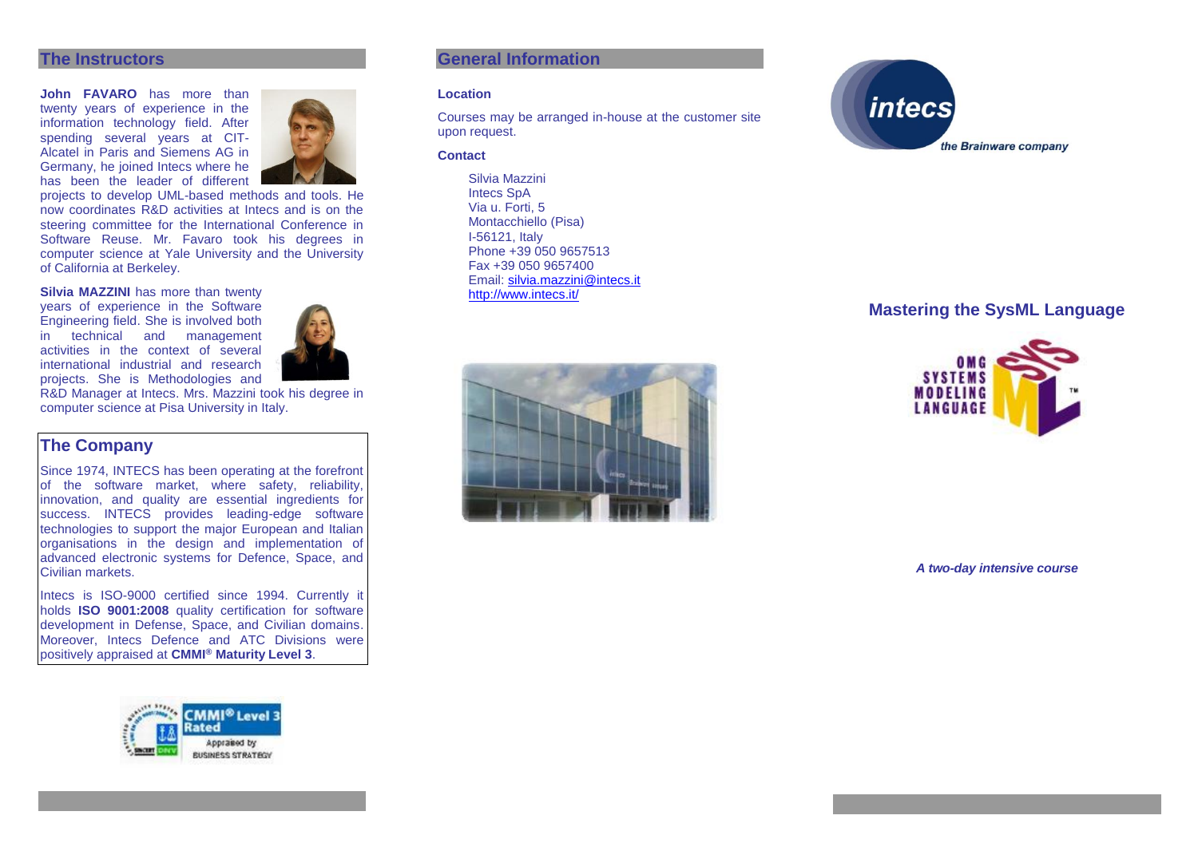## **The Instructors**

**John FAVARO** has more than twenty years of experience in the information technology field. After spending several vears at CIT-Alcatel in Paris and Siemens AG in Germany, he joined Intecs where he has been the leader of different



projects to develop UML-based methods and tools. He now coordinates R&D activities at Intecs and is on the steering committee for the International Conference in Software Reuse. Mr. Favaro took his degrees in computer science at Yale University and the University of California at Berkeley.

### **Silvia MAZZINI** has more than twenty

years of experience in the Software Engineering field. She is involved both in technical and management activities in the context of several international industrial and research projects. She is Methodologies and



R&D Manager at Intecs. Mrs. Mazzini took his degree in computer science at Pisa University in Italy.

# **The Company**

Since 1974, INTECS has been operating at the forefront of the software market, where safety, reliability, innovation, and quality are essential ingredients for success. INTECS provides leading-edge software technologies to support the major European and Italian organisations in the design and implementation of advanced electronic systems for Defence, Space, and Civilian markets.

Intecs is ISO-9000 certified since 1994. Currently it holds **ISO 9001:2008** quality certification for software development in Defense, Space, and Civilian domains. Moreover, Intecs Defence and ATC Divisions were positively appraised at **CMMI® Maturity Level 3**.



## **General Information**

#### **Location**

Courses may be arranged in-house at the customer site upon request.

#### **Contact**

Silvia Mazzini Intecs SpA Via u. Forti, 5 Montacchiello (Pisa) I-56121, Italy Phone +39 050 9657513 Fax +39 050 9657400 Email: [silvia.mazzini@intecs.it](mailto:andrea.musone@intecs.it) <http://www.intecs.it/>





# **Mastering the SysML Language**



*A two-day intensive course*